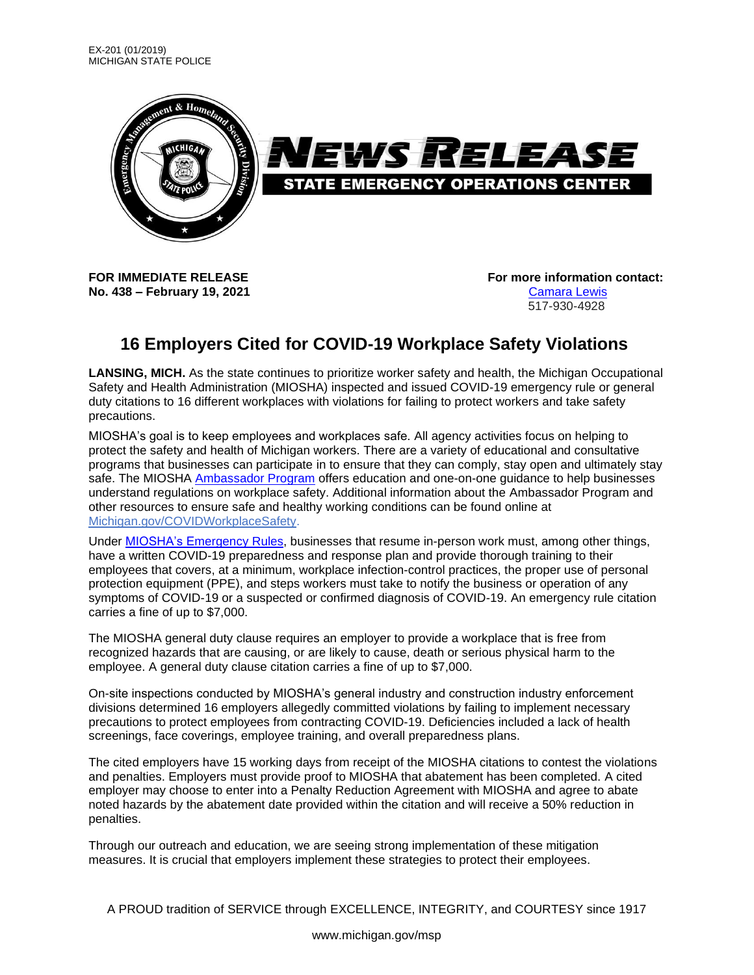

**No. 438 – February 19, 2021** [Camara Lewis](mailto:LewisC16@michigan.gov)

**FOR IMMEDIATE RELEASE For more information contact:**

517-930-4928

## **16 Employers Cited for COVID-19 Workplace Safety Violations**

**LANSING, MICH.** As the state continues to prioritize worker safety and health, the Michigan Occupational Safety and Health Administration (MIOSHA) inspected and issued COVID-19 emergency rule or general duty citations to 16 different workplaces with violations for failing to protect workers and take safety precautions.

MIOSHA's goal is to keep employees and workplaces safe. All agency activities focus on helping to protect the safety and health of Michigan workers. There are a variety of educational and consultative programs that businesses can participate in to ensure that they can comply, stay open and ultimately stay safe. The MIOSHA [Ambassador Program](https://www.nsf.org/consulting/operating-during-covid-19/miosha-ambassador-visit) offers education and one-on-one guidance to help businesses understand regulations on workplace safety. Additional information about the Ambassador Program and other resources to ensure safe and healthy working conditions can be found online at [Michigan.gov/COVIDWorkplaceSafety.](https://www.michigan.gov/leo/0,5863,7-336-100207---,00.html)

Under [MIOSHA's Emergency Rules,](https://gcc02.safelinks.protection.outlook.com/?url=https%3A%2F%2Flnks.gd%2Fl%2FeyJhbGciOiJIUzI1NiJ9.eyJidWxsZXRpbl9saW5rX2lkIjoxMDAsInVyaSI6ImJwMjpjbGljayIsImJ1bGxldGluX2lkIjoiMjAyMTAxMjIuMzM4MDc3MjEiLCJ1cmwiOiJodHRwczovL2NvbnRlbnQuZ292ZGVsaXZlcnkuY29tL2F0dGFjaG1lbnRzL01JRU9HLzIwMjAvMTAvMTQvZmlsZV9hdHRhY2htZW50cy8xNTcwOTk3L01JT1NIQSUyMEVtZXJnZW5jeSUyMFJ1bGVzJTIwMTAtMTQtMjAucGRmIn0.8U498btZb7wMnx0P6hnHhPUxZuxfZ3B-F1JFj8XDDrQ%2Fs%2F1121837222%2Fbr%2F93493684815-l&data=04%7C01%7Cabendrothc%40michigan.gov%7Cc77bcf30ffb548b18d0708d8bf08607f%7Cd5fb7087377742ad966a892ef47225d1%7C0%7C0%7C637469389987919220%7CUnknown%7CTWFpbGZsb3d8eyJWIjoiMC4wLjAwMDAiLCJQIjoiV2luMzIiLCJBTiI6Ik1haWwiLCJXVCI6Mn0%3D%7C1000&sdata=wuQuiTM5%2FbtrHYkni7jHIF%2B8PtVPtM2Q8RH%2BFMzWd14%3D&reserved=0) businesses that resume in-person work must, among other things, have a written COVID-19 preparedness and response plan and provide thorough training to their employees that covers, at a minimum, workplace infection-control practices, the proper use of personal protection equipment (PPE), and steps workers must take to notify the business or operation of any symptoms of COVID-19 or a suspected or confirmed diagnosis of COVID-19. An emergency rule citation carries a fine of up to \$7,000.

The MIOSHA general duty clause requires an employer to provide a workplace that is free from recognized hazards that are causing, or are likely to cause, death or serious physical harm to the employee. A general duty clause citation carries a fine of up to \$7,000.

On-site inspections conducted by MIOSHA's general industry and construction industry enforcement divisions determined 16 employers allegedly committed violations by failing to implement necessary precautions to protect employees from contracting COVID-19. Deficiencies included a lack of health screenings, face coverings, employee training, and overall preparedness plans.

The cited employers have 15 working days from receipt of the MIOSHA citations to contest the violations and penalties. Employers must provide proof to MIOSHA that abatement has been completed. A cited employer may choose to enter into a Penalty Reduction Agreement with MIOSHA and agree to abate noted hazards by the abatement date provided within the citation and will receive a 50% reduction in penalties.

Through our outreach and education, we are seeing strong implementation of these mitigation measures. It is crucial that employers implement these strategies to protect their employees.

A PROUD tradition of SERVICE through EXCELLENCE, INTEGRITY, and COURTESY since 1917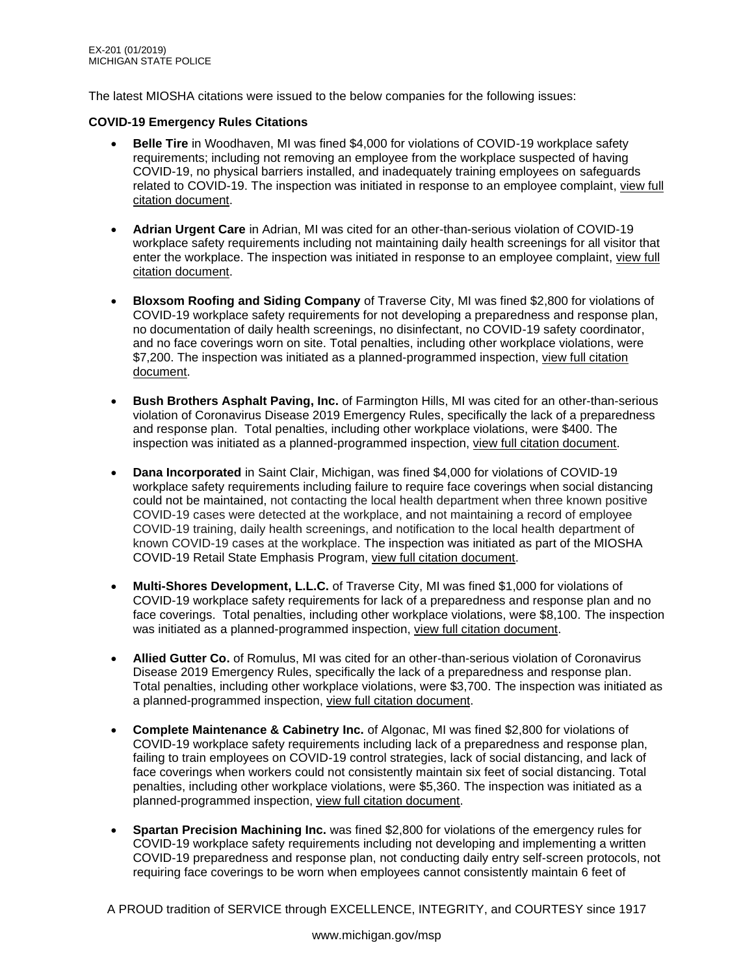The latest MIOSHA citations were issued to the below companies for the following issues:

## **COVID-19 Emergency Rules Citations**

- **Belle Tire** in Woodhaven, MI was fined \$4,000 for violations of COVID-19 workplace safety requirements; including not removing an employee from the workplace suspected of having COVID-19, no physical barriers installed, and inadequately training employees on safeguards related to COVID-19. The inspection was initiated in response to an employee complaint, [view full](https://www.michigan.gov/documents/leo/citations-1507293-Belle_Tire_716673_7.pdf)  [citation document.](https://www.michigan.gov/documents/leo/citations-1507293-Belle_Tire_716673_7.pdf)
- **Adrian Urgent Care** in Adrian, MI was cited for an other-than-serious violation of COVID-19 workplace safety requirements including not maintaining daily health screenings for all visitor that enter the workplace. The inspection was initiated in response to an employee complaint, [view full](https://www.michigan.gov/documents/leo/Adrian_Urgent_Care_716685_7.pdf)  [citation document.](https://www.michigan.gov/documents/leo/Adrian_Urgent_Care_716685_7.pdf)
- **Bloxsom Roofing and Siding Company** of Traverse City, MI was fined \$2,800 for violations of COVID-19 workplace safety requirements for not developing a preparedness and response plan, no documentation of daily health screenings, no disinfectant, no COVID-19 safety coordinator, and no face coverings worn on site. Total penalties, including other workplace violations, were \$7,200. The inspection was initiated as a planned-programmed inspection, [view full citation](https://www.michigan.gov/documents/leo/Bloxsom_Roofing_and_Siding_716688_7.pdf)  [document.](https://www.michigan.gov/documents/leo/Bloxsom_Roofing_and_Siding_716688_7.pdf)
- **Bush Brothers Asphalt Paving, Inc.** of Farmington Hills, MI was cited for an other-than-serious violation of Coronavirus Disease 2019 Emergency Rules, specifically the lack of a preparedness and response plan. Total penalties, including other workplace violations, were \$400. The inspection was initiated as a planned-programmed inspection, [view full citation document.](https://www.michigan.gov/documents/leo/Bush_Brothers_Asphalt_Paving_Inc_716694_7.pdf)
- **Dana Incorporated** in Saint Clair, Michigan, was fined \$4,000 for violations of COVID-19 workplace safety requirements including failure to require face coverings when social distancing could not be maintained, not contacting the local health department when three known positive COVID-19 cases were detected at the workplace, and not maintaining a record of employee COVID-19 training, daily health screenings, and notification to the local health department of known COVID-19 cases at the workplace. The inspection was initiated as part of the MIOSHA COVID-19 Retail State Emphasis Program, [view full citation document.](https://www.michigan.gov/documents/leo/Dana_Incorporated_716700_7.pdf)
- **Multi-Shores Development, L.L.C.** of Traverse City, MI was fined \$1,000 for violations of COVID-19 workplace safety requirements for lack of a preparedness and response plan and no face coverings. Total penalties, including other workplace violations, were \$8,100. The inspection was initiated as a planned-programmed inspection, [view full citation document.](https://www.michigan.gov/documents/leo/Multi_-_Shores_Development_LLC_716712_7.pdf)
- **Allied Gutter Co.** of Romulus, MI was cited for an other-than-serious violation of Coronavirus Disease 2019 Emergency Rules, specifically the lack of a preparedness and response plan. Total penalties, including other workplace violations, were \$3,700. The inspection was initiated as a planned-programmed inspection, [view full citation document.](https://www.michigan.gov/documents/leo/Allied_Gutter_Co_716729_7.pdf)
- **Complete Maintenance & Cabinetry Inc.** of Algonac, MI was fined \$2,800 for violations of COVID-19 workplace safety requirements including lack of a preparedness and response plan, failing to train employees on COVID-19 control strategies, lack of social distancing, and lack of face coverings when workers could not consistently maintain six feet of social distancing. Total penalties, including other workplace violations, were \$5,360. The inspection was initiated as a planned-programmed inspection, [view full citation document.](https://www.michigan.gov/documents/leo/Complate_Maintenance__Cabinetry_Inc._716733_7.pdf)
- **Spartan Precision Machining Inc.** was fined \$2,800 for violations of the emergency rules for COVID-19 workplace safety requirements including not developing and implementing a written COVID-19 preparedness and response plan, not conducting daily entry self-screen protocols, not requiring face coverings to be worn when employees cannot consistently maintain 6 feet of

A PROUD tradition of SERVICE through EXCELLENCE, INTEGRITY, and COURTESY since 1917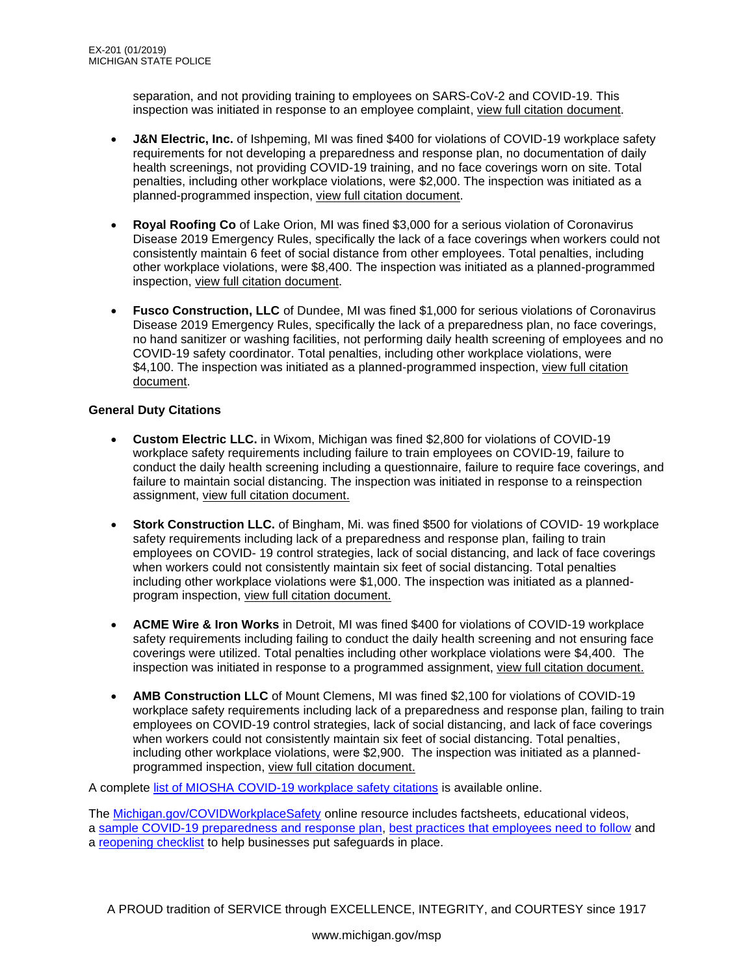separation, and not providing training to employees on SARS-CoV-2 and COVID-19. This inspection was initiated in response to an employee complaint, [view full citation](https://www.michigan.gov/documents/leo/Spartan_Precision_Machining_716738_7.pdf) document.

- **J&N Electric, Inc.** of Ishpeming, MI was fined \$400 for violations of COVID-19 workplace safety requirements for not developing a preparedness and response plan, no documentation of daily health screenings, not providing COVID-19 training, and no face coverings worn on site. Total penalties, including other workplace violations, were \$2,000. The inspection was initiated as a planned-programmed inspection, [view full citation document.](https://www.michigan.gov/documents/leo/JN_Electric_Inc._716741_7.pdf)
- **Royal Roofing Co** of Lake Orion, MI was fined \$3,000 for a serious violation of Coronavirus Disease 2019 Emergency Rules, specifically the lack of a face coverings when workers could not consistently maintain 6 feet of social distance from other employees. Total penalties, including other workplace violations, were \$8,400. The inspection was initiated as a planned-programmed inspection, [view full citation document.](https://www.michigan.gov/documents/leo/Royal_Roofing_Co._716745_7.pdf)
- **Fusco Construction, LLC** of Dundee, MI was fined \$1,000 for serious violations of Coronavirus Disease 2019 Emergency Rules, specifically the lack of a preparedness plan, no face coverings, no hand sanitizer or washing facilities, not performing daily health screening of employees and no COVID-19 safety coordinator. Total penalties, including other workplace violations, were \$4,100. The inspection was initiated as a planned-programmed inspection, [view full citation](https://www.michigan.gov/documents/leo/Fusco_Construction_LLC_716748_7.pdf)  [document.](https://www.michigan.gov/documents/leo/Fusco_Construction_LLC_716748_7.pdf)

## **General Duty Citations**

- **Custom Electric LLC.** in Wixom, Michigan was fined \$2,800 for violations of COVID-19 workplace safety requirements including failure to train employees on COVID-19, failure to conduct the daily health screening including a questionnaire, failure to require face coverings, and failure to maintain social distancing. The inspection was initiated in response to a reinspection assignment, [view full citation document.](https://www.michigan.gov/documents/leo/Custom_Electric_LLC_716680_7.pdf)
- **Stork Construction LLC.** of Bingham, Mi. was fined \$500 for violations of COVID- 19 workplace safety requirements including lack of a preparedness and response plan, failing to train employees on COVID- 19 control strategies, lack of social distancing, and lack of face coverings when workers could not consistently maintain six feet of social distancing. Total penalties including other workplace violations were \$1,000. The inspection was initiated as a plannedprogram inspection, [view full citation document.](https://www.michigan.gov/documents/leo/Stork_Construction_LLC_716696_7.pdf)
- **ACME Wire & Iron Works** in Detroit, MI was fined \$400 for violations of COVID-19 workplace safety requirements including failing to conduct the daily health screening and not ensuring face coverings were utilized. Total penalties including other workplace violations were \$4,400. The inspection was initiated in response to a programmed assignment, [view full citation document.](https://www.michigan.gov/documents/leo/ACME_Wire__Iron_Works_716698_7.pdf)
- **AMB Construction LLC** of Mount Clemens, MI was fined \$2,100 for violations of COVID-19 workplace safety requirements including lack of a preparedness and response plan, failing to train employees on COVID-19 control strategies, lack of social distancing, and lack of face coverings when workers could not consistently maintain six feet of social distancing. Total penalties, including other workplace violations, were \$2,900. The inspection was initiated as a plannedprogrammed inspection, [view full citation document.](https://www.michigan.gov/documents/leo/AMB_Construction_LLC_716749_7.pdf)

A complete [list of MIOSHA COVID-19 workplace safety citations](https://gcc02.safelinks.protection.outlook.com/?url=https%3A%2F%2Flnks.gd%2Fl%2FeyJhbGciOiJIUzI1NiJ9.eyJidWxsZXRpbl9saW5rX2lkIjoxMTEsInVyaSI6ImJwMjpjbGljayIsImJ1bGxldGluX2lkIjoiMjAyMTAxMjIuMzM4MDc3MjEiLCJ1cmwiOiJodHRwczovL3d3dy5taWNoaWdhbi5nb3YvZG9jdW1lbnRzL2xlby9jaXRhdGlvbnNfc3VtbWFyeV83MDAxNDdfNy5wZGYifQ.9uw8GlL7t_c2GgX6GnbFEUke029Tj5oJqa4hvR6MKeg%2Fs%2F1121837222%2Fbr%2F93493684815-l&data=04%7C01%7Cabendrothc%40michigan.gov%7Cc77bcf30ffb548b18d0708d8bf08607f%7Cd5fb7087377742ad966a892ef47225d1%7C0%7C0%7C637469389987969004%7CUnknown%7CTWFpbGZsb3d8eyJWIjoiMC4wLjAwMDAiLCJQIjoiV2luMzIiLCJBTiI6Ik1haWwiLCJXVCI6Mn0%3D%7C1000&sdata=vBSseyCi7TqEcRkfuWW1YINE5ty4ZoF%2BAIXshH1DQo8%3D&reserved=0) is available online.

The [Michigan.gov/COVIDWorkplaceSafety](https://gcc02.safelinks.protection.outlook.com/?url=https%3A%2F%2Flnks.gd%2Fl%2FeyJhbGciOiJIUzI1NiJ9.eyJidWxsZXRpbl9saW5rX2lkIjoxMTIsInVyaSI6ImJwMjpjbGljayIsImJ1bGxldGluX2lkIjoiMjAyMTAxMjIuMzM4MDc3MjEiLCJ1cmwiOiJodHRwczovL3d3dy5taWNoaWdhbi5nb3YvbGVvLzAsNTg2Myw3LTMzNi0xMDAyMDctLS0sMDAuaHRtbCJ9.3mw3X3sPswUrhm9trwjvtaR4Q3fi-EuQxRWIisOaYaY%2Fs%2F1121837222%2Fbr%2F93493684815-l&data=04%7C01%7Cabendrothc%40michigan.gov%7Cc77bcf30ffb548b18d0708d8bf08607f%7Cd5fb7087377742ad966a892ef47225d1%7C0%7C0%7C637469389987969004%7CUnknown%7CTWFpbGZsb3d8eyJWIjoiMC4wLjAwMDAiLCJQIjoiV2luMzIiLCJBTiI6Ik1haWwiLCJXVCI6Mn0%3D%7C1000&sdata=CiVIM11ZcxJ9YGG2%2Fg00exQH%2B9Q%2BjUETW6KUYQ9tJaI%3D&reserved=0) online resource includes factsheets, educational videos, a [sample COVID-19 preparedness and response plan,](https://gcc02.safelinks.protection.outlook.com/?url=https%3A%2F%2Flnks.gd%2Fl%2FeyJhbGciOiJIUzI1NiJ9.eyJidWxsZXRpbl9saW5rX2lkIjoxMTMsInVyaSI6ImJwMjpjbGljayIsImJ1bGxldGluX2lkIjoiMjAyMTAxMjIuMzM4MDc3MjEiLCJ1cmwiOiJodHRwczovL3d3dy5taWNoaWdhbi5nb3YvZG9jdW1lbnRzL2xlby9sZW9fbWlvc2hhX2NldDU3MDBfNjkxMjQwXzcuZG9jIn0.sXREdvKGo0y2LNTp9ENwZaxoasDe1p5G9F2nniAxvSI%2Fs%2F1121837222%2Fbr%2F93493684815-l&data=04%7C01%7Cabendrothc%40michigan.gov%7Cc77bcf30ffb548b18d0708d8bf08607f%7Cd5fb7087377742ad966a892ef47225d1%7C0%7C0%7C637469389987978960%7CUnknown%7CTWFpbGZsb3d8eyJWIjoiMC4wLjAwMDAiLCJQIjoiV2luMzIiLCJBTiI6Ik1haWwiLCJXVCI6Mn0%3D%7C1000&sdata=03MMVOOSY3yoZEiQQxcdS4pD5Fy5KktBMxVQWSXyeog%3D&reserved=0) [best practices that employees need to follow](https://gcc02.safelinks.protection.outlook.com/?url=https%3A%2F%2Flnks.gd%2Fl%2FeyJhbGciOiJIUzI1NiJ9.eyJidWxsZXRpbl9saW5rX2lkIjoxMTQsInVyaSI6ImJwMjpjbGljayIsImJ1bGxldGluX2lkIjoiMjAyMTAxMjIuMzM4MDc3MjEiLCJ1cmwiOiJodHRwczovL3d3dy5taWNoaWdhbi5nb3YvZG9jdW1lbnRzL2xlby9Xb3JrcGxhY2VfR3VpZGVsaW5lc19GYWN0c2hlZXQtRW1wbG95ZWVzX1JFVl82OTIzNzBfNy5wZGYifQ.zQw9lcVmNaRV64BZATvOY0YGJ7GX7NmUOlg5kfUtSUE%2Fs%2F1121837222%2Fbr%2F93493684815-l&data=04%7C01%7Cabendrothc%40michigan.gov%7Cc77bcf30ffb548b18d0708d8bf08607f%7Cd5fb7087377742ad966a892ef47225d1%7C0%7C0%7C637469389987978960%7CUnknown%7CTWFpbGZsb3d8eyJWIjoiMC4wLjAwMDAiLCJQIjoiV2luMzIiLCJBTiI6Ik1haWwiLCJXVCI6Mn0%3D%7C1000&sdata=zVL1QwuucFEvc0G5hZKSrYkbMFBCTRyRieonLIzW%2B5A%3D&reserved=0) and a [reopening checklist](https://gcc02.safelinks.protection.outlook.com/?url=https%3A%2F%2Flnks.gd%2Fl%2FeyJhbGciOiJIUzI1NiJ9.eyJidWxsZXRpbl9saW5rX2lkIjoxMTUsInVyaSI6ImJwMjpjbGljayIsImJ1bGxldGluX2lkIjoiMjAyMTAxMjIuMzM4MDc3MjEiLCJ1cmwiOiJodHRwczovL3d3dy5taWNoaWdhbi5nb3YvZG9jdW1lbnRzL2xlby9Xb3JrcGxhY2VfR3VpZGVsaW5lcy1SZW9wZW5pbmdfQ2hlY2tsaXN0XzY5MjAyMV83LnBkZiJ9.nJ9A9Yn4VFsJzz5hWItecKSsq49ESlZq5InkGIYJUpI%2Fs%2F1121837222%2Fbr%2F93493684815-l&data=04%7C01%7Cabendrothc%40michigan.gov%7Cc77bcf30ffb548b18d0708d8bf08607f%7Cd5fb7087377742ad966a892ef47225d1%7C0%7C0%7C637469389987988913%7CUnknown%7CTWFpbGZsb3d8eyJWIjoiMC4wLjAwMDAiLCJQIjoiV2luMzIiLCJBTiI6Ik1haWwiLCJXVCI6Mn0%3D%7C1000&sdata=QpmPUCkbi%2FTxGP7ySu5CfDSAS2qnJ4mFOtvwUKCPTKc%3D&reserved=0) to help businesses put safeguards in place.